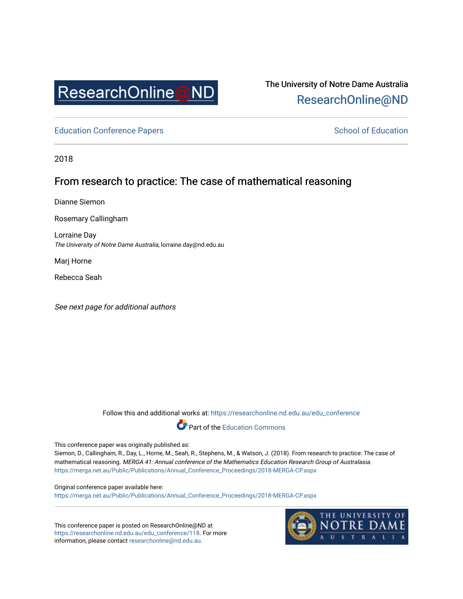

# The University of Notre Dame Australia [ResearchOnline@ND](https://researchonline.nd.edu.au/)

[Education Conference Papers](https://researchonline.nd.edu.au/edu_conference) **School of Education** School of Education

2018

## From research to practice: The case of mathematical reasoning

Dianne Siemon

Rosemary Callingham

Lorraine Day The University of Notre Dame Australia, lorraine.day@nd.edu.au

Marj Horne

Rebecca Seah

See next page for additional authors

Follow this and additional works at: [https://researchonline.nd.edu.au/edu\\_conference](https://researchonline.nd.edu.au/edu_conference?utm_source=researchonline.nd.edu.au%2Fedu_conference%2F118&utm_medium=PDF&utm_campaign=PDFCoverPages)

Part of the [Education Commons](http://network.bepress.com/hgg/discipline/784?utm_source=researchonline.nd.edu.au%2Fedu_conference%2F118&utm_medium=PDF&utm_campaign=PDFCoverPages) 

This conference paper was originally published as:

Siemon, D., Callingham, R., Day, L., Horne, M., Seah, R., Stephens, M., & Watson, J. (2018). From research to practice: The case of mathematical reasoning. MERGA 41: Annual conference of the Mathematics Education Research Group of Australasia. [https://merga.net.au/Public/Publications/Annual\\_Conference\\_Proceedings/2018-MERGA-CP.aspx](https://merga.net.au/Public/Publications/Annual_Conference_Proceedings/2018-MERGA-CP.aspx) 

Original conference paper available here: [https://merga.net.au/Public/Publications/Annual\\_Conference\\_Proceedings/2018-MERGA-CP.aspx](https://merga.net.au/Public/Publications/Annual_Conference_Proceedings/2018-MERGA-CP.aspx) 

This conference paper is posted on ResearchOnline@ND at [https://researchonline.nd.edu.au/edu\\_conference/118](https://researchonline.nd.edu.au/edu_conference/118). For more information, please contact [researchonline@nd.edu.au.](mailto:researchonline@nd.edu.au)

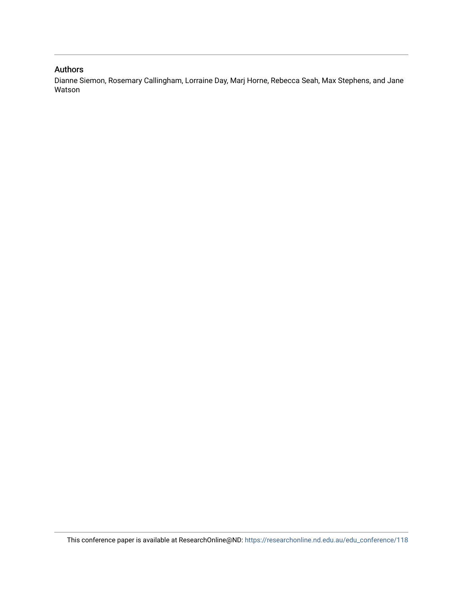#### Authors

Dianne Siemon, Rosemary Callingham, Lorraine Day, Marj Horne, Rebecca Seah, Max Stephens, and Jane Watson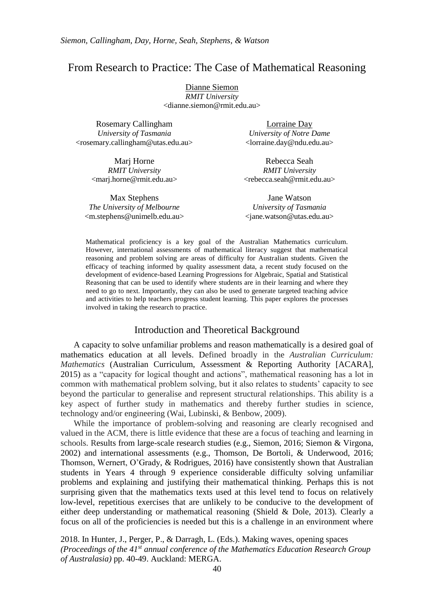## From Research to Practice: The Case of Mathematical Reasoning

Dianne Siemon *RMIT University* <dianne.siemon@rmit.edu.au>

| Rosemary Callingham                                                 | Lorraine Day                       |
|---------------------------------------------------------------------|------------------------------------|
| University of Tasmania                                              | University of Notre Dame           |
| <rosemary.callingham@utas.edu.au></rosemary.callingham@utas.edu.au> | $\langle$ lorraine.day@ndu.edu.au> |

Rebecca Seah *RMIT University* <rebecca.seah@rmit.edu.au>

Marj Horne *RMIT University* <marj.horne@rmit.edu.au>

Max Stephens *The University of Melbourne* <m.stephens@unimelb.edu.au> Jane Watson *University of Tasmania* <jane.watson@utas.edu.au>

Mathematical proficiency is a key goal of the Australian Mathematics curriculum. However, international assessments of mathematical literacy suggest that mathematical reasoning and problem solving are areas of difficulty for Australian students. Given the efficacy of teaching informed by quality assessment data, a recent study focused on the development of evidence-based Learning Progressions for Algebraic, Spatial and Statistical Reasoning that can be used to identify where students are in their learning and where they need to go to next. Importantly, they can also be used to generate targeted teaching advice and activities to help teachers progress student learning. This paper explores the processes involved in taking the research to practice.

#### Introduction and Theoretical Background

A capacity to solve unfamiliar problems and reason mathematically is a desired goal of mathematics education at all levels. Defined broadly in the *Australian Curriculum: Mathematics* (Australian Curriculum, Assessment & Reporting Authority [ACARA], 2015) as a "capacity for logical thought and actions", mathematical reasoning has a lot in common with mathematical problem solving, but it also relates to students' capacity to see beyond the particular to generalise and represent structural relationships. This ability is a key aspect of further study in mathematics and thereby further studies in science, technology and/or engineering (Wai, Lubinski, & Benbow, 2009).

While the importance of problem-solving and reasoning are clearly recognised and valued in the ACM, there is little evidence that these are a focus of teaching and learning in schools. Results from large-scale research studies (e.g., Siemon, 2016; Siemon & Virgona, 2002) and international assessments (e.g., Thomson, De Bortoli, & Underwood, 2016; Thomson, Wernert, O'Grady, & Rodrigues, 2016) have consistently shown that Australian students in Years 4 through 9 experience considerable difficulty solving unfamiliar problems and explaining and justifying their mathematical thinking. Perhaps this is not surprising given that the mathematics texts used at this level tend to focus on relatively low-level, repetitious exercises that are unlikely to be conducive to the development of either deep understanding or mathematical reasoning (Shield & Dole, 2013). Clearly a focus on all of the proficiencies is needed but this is a challenge in an environment where

2018. In Hunter, J., Perger, P., & Darragh, L. (Eds.). Making waves, opening spaces *(Proceedings of the 41st annual conference of the Mathematics Education Research Group of Australasia)* pp. 40-49. Auckland: MERGA.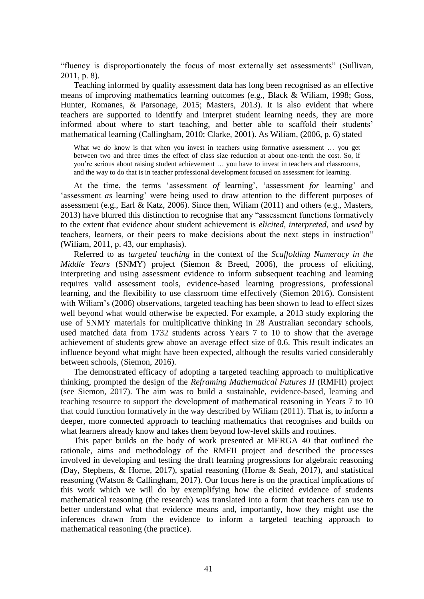"fluency is disproportionately the focus of most externally set assessments" (Sullivan, 2011, p. 8).

Teaching informed by quality assessment data has long been recognised as an effective means of improving mathematics learning outcomes (e.g., Black & Wiliam, 1998; Goss, Hunter, Romanes, & Parsonage, 2015; Masters, 2013). It is also evident that where teachers are supported to identify and interpret student learning needs, they are more informed about where to start teaching, and better able to scaffold their students' mathematical learning (Callingham, 2010; Clarke, 2001). As Wiliam, (2006, p. 6) stated

What we *do* know is that when you invest in teachers using formative assessment ... you get between two and three times the effect of class size reduction at about one-tenth the cost. So, if you're serious about raising student achievement … you have to invest in teachers and classrooms, and the way to do that is in teacher professional development focused on assessment for learning.

At the time, the terms 'assessment *of* learning', 'assessment *for* learning' and 'assessment *as* learning' were being used to draw attention to the different purposes of assessment (e.g., Earl & Katz, 2006). Since then, Wiliam (2011) and others (e.g., Masters, 2013) have blurred this distinction to recognise that any "assessment functions formatively to the extent that evidence about student achievement is *elicited, interpreted*, and *used* by teachers, learners, or their peers to make decisions about the next steps in instruction" (Wiliam, 2011, p. 43, our emphasis).

Referred to as *targeted teaching* in the context of the *Scaffolding Numeracy in the Middle Years* (SNMY) project (Siemon & Breed, 2006), the process of eliciting, interpreting and using assessment evidence to inform subsequent teaching and learning requires valid assessment tools, evidence-based learning progressions, professional learning, and the flexibility to use classroom time effectively (Siemon 2016). Consistent with Wiliam's (2006) observations, targeted teaching has been shown to lead to effect sizes well beyond what would otherwise be expected. For example, a 2013 study exploring the use of SNMY materials for multiplicative thinking in 28 Australian secondary schools, used matched data from 1732 students across Years 7 to 10 to show that the average achievement of students grew above an average effect size of 0.6. This result indicates an influence beyond what might have been expected, although the results varied considerably between schools, (Siemon, 2016).

The demonstrated efficacy of adopting a targeted teaching approach to multiplicative thinking, prompted the design of the *Reframing Mathematical Futures II* (RMFII) project (see Siemon, 2017). The aim was to build a sustainable, evidence-based, learning and teaching resource to support the development of mathematical reasoning in Years 7 to 10 that could function formatively in the way described by Wiliam (2011). That is, to inform a deeper, more connected approach to teaching mathematics that recognises and builds on what learners already know and takes them beyond low-level skills and routines.

This paper builds on the body of work presented at MERGA 40 that outlined the rationale, aims and methodology of the RMFII project and described the processes involved in developing and testing the draft learning progressions for algebraic reasoning (Day, Stephens, & Horne, 2017), spatial reasoning (Horne & Seah, 2017), and statistical reasoning (Watson & Callingham, 2017). Our focus here is on the practical implications of this work which we will do by exemplifying how the elicited evidence of students mathematical reasoning (the research) was translated into a form that teachers can use to better understand what that evidence means and, importantly, how they might use the inferences drawn from the evidence to inform a targeted teaching approach to mathematical reasoning (the practice).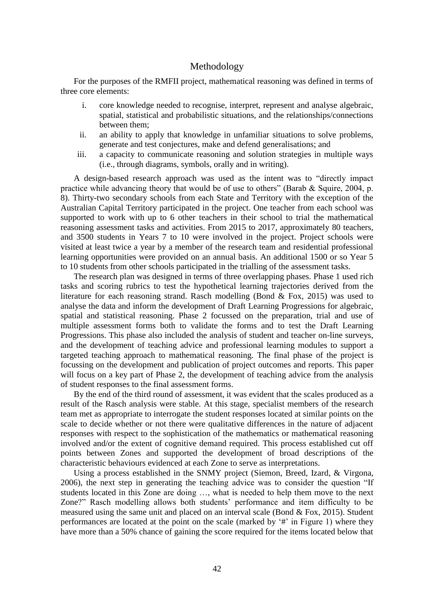## Methodology

For the purposes of the RMFII project, mathematical reasoning was defined in terms of three core elements:

- i. core knowledge needed to recognise, interpret, represent and analyse algebraic, spatial, statistical and probabilistic situations, and the relationships/connections between them;
- ii. an ability to apply that knowledge in unfamiliar situations to solve problems, generate and test conjectures, make and defend generalisations; and
- iii. a capacity to communicate reasoning and solution strategies in multiple ways (i.e., through diagrams, symbols, orally and in writing).

A design-based research approach was used as the intent was to "directly impact practice while advancing theory that would be of use to others" (Barab & Squire, 2004, p. 8). Thirty-two secondary schools from each State and Territory with the exception of the Australian Capital Territory participated in the project. One teacher from each school was supported to work with up to 6 other teachers in their school to trial the mathematical reasoning assessment tasks and activities. From 2015 to 2017, approximately 80 teachers, and 3500 students in Years 7 to 10 were involved in the project. Project schools were visited at least twice a year by a member of the research team and residential professional learning opportunities were provided on an annual basis. An additional 1500 or so Year 5 to 10 students from other schools participated in the trialling of the assessment tasks.

The research plan was designed in terms of three overlapping phases. Phase 1 used rich tasks and scoring rubrics to test the hypothetical learning trajectories derived from the literature for each reasoning strand. Rasch modelling (Bond & Fox, 2015) was used to analyse the data and inform the development of Draft Learning Progressions for algebraic, spatial and statistical reasoning. Phase 2 focussed on the preparation, trial and use of multiple assessment forms both to validate the forms and to test the Draft Learning Progressions. This phase also included the analysis of student and teacher on-line surveys, and the development of teaching advice and professional learning modules to support a targeted teaching approach to mathematical reasoning. The final phase of the project is focussing on the development and publication of project outcomes and reports. This paper will focus on a key part of Phase 2, the development of teaching advice from the analysis of student responses to the final assessment forms.

By the end of the third round of assessment, it was evident that the scales produced as a result of the Rasch analysis were stable. At this stage, specialist members of the research team met as appropriate to interrogate the student responses located at similar points on the scale to decide whether or not there were qualitative differences in the nature of adjacent responses with respect to the sophistication of the mathematics or mathematical reasoning involved and/or the extent of cognitive demand required. This process established cut off points between Zones and supported the development of broad descriptions of the characteristic behaviours evidenced at each Zone to serve as interpretations.

Using a process established in the SNMY project (Siemon, Breed, Izard, & Virgona, 2006), the next step in generating the teaching advice was to consider the question "If students located in this Zone are doing …, what is needed to help them move to the next Zone?" Rasch modelling allows both students' performance and item difficulty to be measured using the same unit and placed on an interval scale (Bond & Fox, 2015). Student performances are located at the point on the scale (marked by '#' in Figure 1) where they have more than a 50% chance of gaining the score required for the items located below that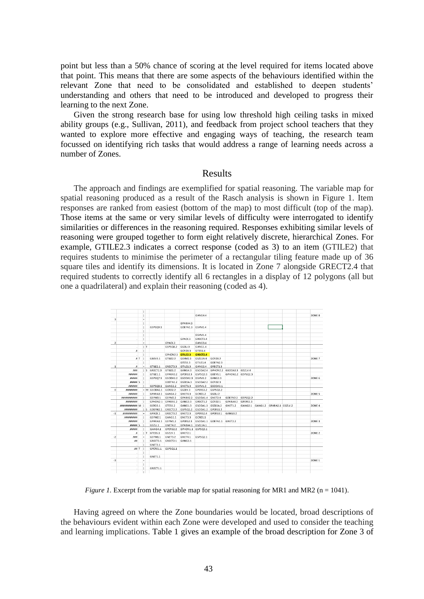point but less than a 50% chance of scoring at the level required for items located above that point. This means that there are some aspects of the behaviours identified within the relevant Zone that need to be consolidated and established to deepen students' understanding and others that need to be introduced and developed to progress their learning to the next Zone.

Given the strong research base for using low threshold high ceiling tasks in mixed ability groups (e.g., Sullivan, 2011), and feedback from project school teachers that they wanted to explore more effective and engaging ways of teaching, the research team focussed on identifying rich tasks that would address a range of learning needs across a number of Zones.

#### Results

The approach and findings are exemplified for spatial reasoning. The variable map for spatial reasoning produced as a result of the Rasch analysis is shown in Figure 1. Item responses are ranked from easiest (bottom of the map) to most difficult (top of the map). Those items at the same or very similar levels of difficulty were interrogated to identify similarities or differences in the reasoning required. Responses exhibiting similar levels of reasoning were grouped together to form eight relatively discrete, hierarchical Zones. For example, GTILE2.3 indicates a correct response (coded as 3) to an item (GTILE2) that requires students to minimise the perimeter of a rectangular tiling feature made up of 36 square tiles and identify its dimensions. It is located in Zone 7 alongside GRECT2.4 that required students to correctly identify all 6 rectangles in a display of 12 polygons (all but one a quadrilateral) and explain their reasoning (coded as 4).



*Figure 1.* Excerpt from the variable map for spatial reasoning for MR1 and MR2 (n = 1041).

Having agreed on where the Zone boundaries would be located, broad descriptions of the behaviours evident within each Zone were developed and used to consider the teaching and learning implications. Table 1 gives an example of the broad description for Zone 3 of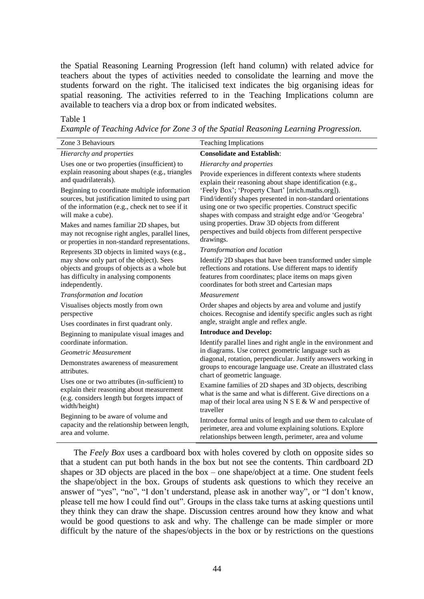the Spatial Reasoning Learning Progression (left hand column) with related advice for teachers about the types of activities needed to consolidate the learning and move the students forward on the right. The italicised text indicates the big organising ideas for spatial reasoning. The activities referred to in the Teaching Implications column are available to teachers via a drop box or from indicated websites.

#### Table 1

*Example of Teaching Advice for Zone 3 of the Spatial Reasoning Learning Progression.*

| Zone 3 Behaviours                                    | <b>Teaching Implications</b>                                                                                                                                   |
|------------------------------------------------------|----------------------------------------------------------------------------------------------------------------------------------------------------------------|
| Hierarchy and properties                             | <b>Consolidate and Establish:</b>                                                                                                                              |
| Uses one or two properties (insufficient) to         | Hierarchy and properties                                                                                                                                       |
| explain reasoning about shapes (e.g., triangles      | Provide experiences in different contexts where students                                                                                                       |
| and quadrilaterals).                                 | explain their reasoning about shape identification (e.g.,                                                                                                      |
| Beginning to coordinate multiple information         | 'Feely Box'; 'Property Chart' [nrich.maths.org]).                                                                                                              |
| sources, but justification limited to using part     | Find/identify shapes presented in non-standard orientations                                                                                                    |
| of the information (e.g., check net to see if it     | using one or two specific properties. Construct specific                                                                                                       |
| will make a cube).                                   | shapes with compass and straight edge and/or 'Geogebra'                                                                                                        |
| Makes and names familiar 2D shapes, but              | using properties. Draw 3D objects from different                                                                                                               |
| may not recognise right angles, parallel lines,      | perspectives and build objects from different perspective                                                                                                      |
| or properties in non-standard representations.       | drawings.                                                                                                                                                      |
| Represents 3D objects in limited ways (e.g.,         | Transformation and location                                                                                                                                    |
| may show only part of the object). Sees              | Identify 2D shapes that have been transformed under simple                                                                                                     |
| objects and groups of objects as a whole but         | reflections and rotations. Use different maps to identify                                                                                                      |
| has difficulty in analysing components               | features from coordinates; place items on maps given                                                                                                           |
| independently.                                       | coordinates for both street and Cartesian maps                                                                                                                 |
| Transformation and location                          | Measurement                                                                                                                                                    |
| Visualises objects mostly from own                   | Order shapes and objects by area and volume and justify                                                                                                        |
| perspective                                          | choices. Recognise and identify specific angles such as right                                                                                                  |
| Uses coordinates in first quadrant only.             | angle, straight angle and reflex angle.                                                                                                                        |
| Beginning to manipulate visual images and            | <b>Introduce and Develop:</b>                                                                                                                                  |
| coordinate information.                              | Identify parallel lines and right angle in the environment and                                                                                                 |
| Geometric Measurement                                | in diagrams. Use correct geometric language such as                                                                                                            |
| Demonstrates awareness of measurement<br>attributes. | diagonal, rotation, perpendicular. Justify answers working in<br>groups to encourage language use. Create an illustrated class<br>chart of geometric language. |
| Uses one or two attributes (in-sufficient) to        | Examine families of 2D shapes and 3D objects, describing                                                                                                       |
| explain their reasoning about measurement            | what is the same and what is different. Give directions on a                                                                                                   |
| (e.g. considers length but forgets impact of         | map of their local area using $N S E & W$ and perspective of                                                                                                   |
| width/height)                                        | traveller                                                                                                                                                      |
| Beginning to be aware of volume and                  | Introduce formal units of length and use them to calculate of                                                                                                  |
| capacity and the relationship between length,        | perimeter, area and volume explaining solutions. Explore                                                                                                       |
| area and volume.                                     | relationships between length, perimeter, area and volume                                                                                                       |
|                                                      |                                                                                                                                                                |

The *Feely Box* uses a cardboard box with holes covered by cloth on opposite sides so that a student can put both hands in the box but not see the contents. Thin cardboard 2D shapes or 3D objects are placed in the box – one shape/object at a time. One student feels the shape/object in the box. Groups of students ask questions to which they receive an answer of "yes", "no", "I don't understand, please ask in another way", or "I don't know, please tell me how I could find out". Groups in the class take turns at asking questions until they think they can draw the shape. Discussion centres around how they know and what would be good questions to ask and why. The challenge can be made simpler or more difficult by the nature of the shapes/objects in the box or by restrictions on the questions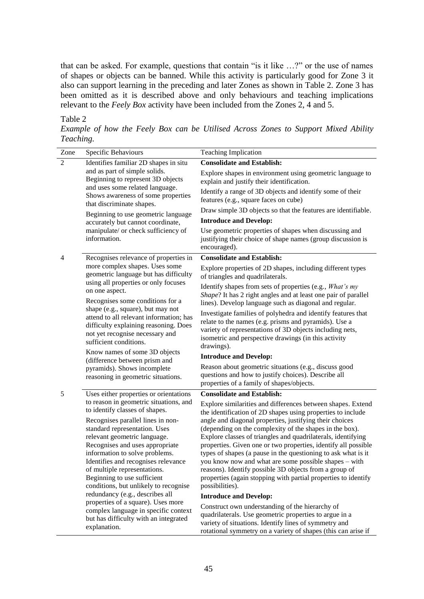that can be asked. For example, questions that contain "is it like …?" or the use of names of shapes or objects can be banned. While this activity is particularly good for Zone 3 it also can support learning in the preceding and later Zones as shown in Table 2. Zone 3 has been omitted as it is described above and only behaviours and teaching implications relevant to the *Feely Box* activity have been included from the Zones 2, 4 and 5.

### Table 2

*Example of how the Feely Box can be Utilised Across Zones to Support Mixed Ability Teaching.*

| Zone                                                                                                                                                                                                                                                                                                                                                                                                                                                                                                                                                                         | Specific Behaviours                                                                                                                                                                                                                                                                                               | <b>Teaching Implication</b>                                                                                                                                                                                                                                                                                                                                                                                                                                                                                                                                            |
|------------------------------------------------------------------------------------------------------------------------------------------------------------------------------------------------------------------------------------------------------------------------------------------------------------------------------------------------------------------------------------------------------------------------------------------------------------------------------------------------------------------------------------------------------------------------------|-------------------------------------------------------------------------------------------------------------------------------------------------------------------------------------------------------------------------------------------------------------------------------------------------------------------|------------------------------------------------------------------------------------------------------------------------------------------------------------------------------------------------------------------------------------------------------------------------------------------------------------------------------------------------------------------------------------------------------------------------------------------------------------------------------------------------------------------------------------------------------------------------|
| $\overline{2}$<br>Identifies familiar 2D shapes in situ<br>and as part of simple solids.<br>Beginning to represent 3D objects<br>and uses some related language.<br>Shows awareness of some properties<br>that discriminate shapes.<br>Beginning to use geometric language<br>accurately but cannot coordinate,<br>manipulate/ or check sufficiency of<br>information.                                                                                                                                                                                                       |                                                                                                                                                                                                                                                                                                                   | <b>Consolidate and Establish:</b>                                                                                                                                                                                                                                                                                                                                                                                                                                                                                                                                      |
|                                                                                                                                                                                                                                                                                                                                                                                                                                                                                                                                                                              | Explore shapes in environment using geometric language to<br>explain and justify their identification.                                                                                                                                                                                                            |                                                                                                                                                                                                                                                                                                                                                                                                                                                                                                                                                                        |
|                                                                                                                                                                                                                                                                                                                                                                                                                                                                                                                                                                              |                                                                                                                                                                                                                                                                                                                   | Identify a range of 3D objects and identify some of their<br>features (e.g., square faces on cube)                                                                                                                                                                                                                                                                                                                                                                                                                                                                     |
|                                                                                                                                                                                                                                                                                                                                                                                                                                                                                                                                                                              | Draw simple 3D objects so that the features are identifiable.                                                                                                                                                                                                                                                     |                                                                                                                                                                                                                                                                                                                                                                                                                                                                                                                                                                        |
|                                                                                                                                                                                                                                                                                                                                                                                                                                                                                                                                                                              |                                                                                                                                                                                                                                                                                                                   | <b>Introduce and Develop:</b>                                                                                                                                                                                                                                                                                                                                                                                                                                                                                                                                          |
|                                                                                                                                                                                                                                                                                                                                                                                                                                                                                                                                                                              | Use geometric properties of shapes when discussing and<br>justifying their choice of shape names (group discussion is<br>encouraged).                                                                                                                                                                             |                                                                                                                                                                                                                                                                                                                                                                                                                                                                                                                                                                        |
| 4                                                                                                                                                                                                                                                                                                                                                                                                                                                                                                                                                                            | Recognises relevance of properties in                                                                                                                                                                                                                                                                             | <b>Consolidate and Establish:</b>                                                                                                                                                                                                                                                                                                                                                                                                                                                                                                                                      |
| more complex shapes. Uses some<br>geometric language but has difficulty<br>using all properties or only focuses<br>on one aspect.<br>Recognises some conditions for a<br>shape (e.g., square), but may not<br>attend to all relevant information; has<br>difficulty explaining reasoning. Does<br>not yet recognise necessary and<br>sufficient conditions.<br>Know names of some 3D objects<br>(difference between prism and<br>pyramids). Shows incomplete<br>reasoning in geometric situations.                                                                           | Explore properties of 2D shapes, including different types<br>of triangles and quadrilaterals.                                                                                                                                                                                                                    |                                                                                                                                                                                                                                                                                                                                                                                                                                                                                                                                                                        |
|                                                                                                                                                                                                                                                                                                                                                                                                                                                                                                                                                                              | Identify shapes from sets of properties (e.g., What's my<br>Shape? It has 2 right angles and at least one pair of parallel                                                                                                                                                                                        |                                                                                                                                                                                                                                                                                                                                                                                                                                                                                                                                                                        |
|                                                                                                                                                                                                                                                                                                                                                                                                                                                                                                                                                                              | lines). Develop language such as diagonal and regular.<br>Investigate families of polyhedra and identify features that<br>relate to the names (e.g. prisms and pyramids). Use a<br>variety of representations of 3D objects including nets,<br>isometric and perspective drawings (in this activity<br>drawings). |                                                                                                                                                                                                                                                                                                                                                                                                                                                                                                                                                                        |
|                                                                                                                                                                                                                                                                                                                                                                                                                                                                                                                                                                              | <b>Introduce and Develop:</b>                                                                                                                                                                                                                                                                                     |                                                                                                                                                                                                                                                                                                                                                                                                                                                                                                                                                                        |
|                                                                                                                                                                                                                                                                                                                                                                                                                                                                                                                                                                              | Reason about geometric situations (e.g., discuss good<br>questions and how to justify choices). Describe all<br>properties of a family of shapes/objects.                                                                                                                                                         |                                                                                                                                                                                                                                                                                                                                                                                                                                                                                                                                                                        |
| 5                                                                                                                                                                                                                                                                                                                                                                                                                                                                                                                                                                            | Uses either properties or orientations                                                                                                                                                                                                                                                                            | <b>Consolidate and Establish:</b>                                                                                                                                                                                                                                                                                                                                                                                                                                                                                                                                      |
| to reason in geometric situations, and<br>to identify classes of shapes.<br>Recognises parallel lines in non-<br>standard representation. Uses<br>relevant geometric language.<br>Recognises and uses appropriate<br>information to solve problems.<br>Identifies and recognises relevance<br>of multiple representations.<br>Beginning to use sufficient<br>conditions, but unlikely to recognise<br>redundancy (e.g., describes all<br>properties of a square). Uses more<br>complex language in specific context<br>but has difficulty with an integrated<br>explanation. |                                                                                                                                                                                                                                                                                                                   | Explore similarities and differences between shapes. Extend<br>the identification of 2D shapes using properties to include<br>angle and diagonal properties, justifying their choices<br>(depending on the complexity of the shapes in the box).<br>Explore classes of triangles and quadrilaterals, identifying<br>properties. Given one or two properties, identify all possible<br>types of shapes (a pause in the questioning to ask what is it<br>you know now and what are some possible shapes - with<br>reasons). Identify possible 3D objects from a group of |
|                                                                                                                                                                                                                                                                                                                                                                                                                                                                                                                                                                              |                                                                                                                                                                                                                                                                                                                   | properties (again stopping with partial properties to identify<br>possibilities).                                                                                                                                                                                                                                                                                                                                                                                                                                                                                      |
|                                                                                                                                                                                                                                                                                                                                                                                                                                                                                                                                                                              |                                                                                                                                                                                                                                                                                                                   | <b>Introduce and Develop:</b>                                                                                                                                                                                                                                                                                                                                                                                                                                                                                                                                          |
|                                                                                                                                                                                                                                                                                                                                                                                                                                                                                                                                                                              | Construct own understanding of the hierarchy of<br>quadrilaterals. Use geometric properties to argue in a<br>variety of situations. Identify lines of symmetry and<br>rotational symmetry on a variety of shapes (this can arise if                                                                               |                                                                                                                                                                                                                                                                                                                                                                                                                                                                                                                                                                        |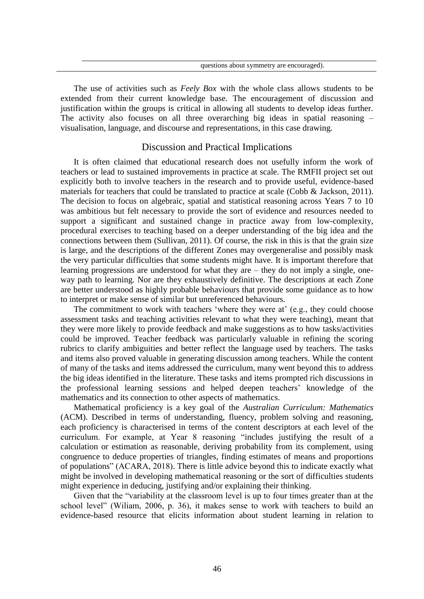The use of activities such as *Feely Box* with the whole class allows students to be extended from their current knowledge base. The encouragement of discussion and justification within the groups is critical in allowing all students to develop ideas further. The activity also focuses on all three overarching big ideas in spatial reasoning – visualisation, language, and discourse and representations, in this case drawing.

#### Discussion and Practical Implications

It is often claimed that educational research does not usefully inform the work of teachers or lead to sustained improvements in practice at scale. The RMFII project set out explicitly both to involve teachers in the research and to provide useful, evidence-based materials for teachers that could be translated to practice at scale (Cobb & Jackson, 2011). The decision to focus on algebraic, spatial and statistical reasoning across Years 7 to 10 was ambitious but felt necessary to provide the sort of evidence and resources needed to support a significant and sustained change in practice away from low-complexity, procedural exercises to teaching based on a deeper understanding of the big idea and the connections between them (Sullivan, 2011). Of course, the risk in this is that the grain size is large, and the descriptions of the different Zones may overgeneralise and possibly mask the very particular difficulties that some students might have. It is important therefore that learning progressions are understood for what they are – they do not imply a single, oneway path to learning. Nor are they exhaustively definitive. The descriptions at each Zone are better understood as highly probable behaviours that provide some guidance as to how to interpret or make sense of similar but unreferenced behaviours.

The commitment to work with teachers 'where they were at' (e.g., they could choose assessment tasks and teaching activities relevant to what they were teaching), meant that they were more likely to provide feedback and make suggestions as to how tasks/activities could be improved. Teacher feedback was particularly valuable in refining the scoring rubrics to clarify ambiguities and better reflect the language used by teachers. The tasks and items also proved valuable in generating discussion among teachers. While the content of many of the tasks and items addressed the curriculum, many went beyond this to address the big ideas identified in the literature. These tasks and items prompted rich discussions in the professional learning sessions and helped deepen teachers' knowledge of the mathematics and its connection to other aspects of mathematics.

Mathematical proficiency is a key goal of the *Australian Curriculum: Mathematics* (ACM). Described in terms of understanding, fluency, problem solving and reasoning, each proficiency is characterised in terms of the content descriptors at each level of the curriculum. For example, at Year 8 reasoning "includes justifying the result of a calculation or estimation as reasonable, deriving probability from its complement, using congruence to deduce properties of triangles, finding estimates of means and proportions of populations" (ACARA, 2018). There is little advice beyond this to indicate exactly what might be involved in developing mathematical reasoning or the sort of difficulties students might experience in deducing, justifying and/or explaining their thinking.

Given that the "variability at the classroom level is up to four times greater than at the school level" (Wiliam, 2006, p. 36), it makes sense to work with teachers to build an evidence-based resource that elicits information about student learning in relation to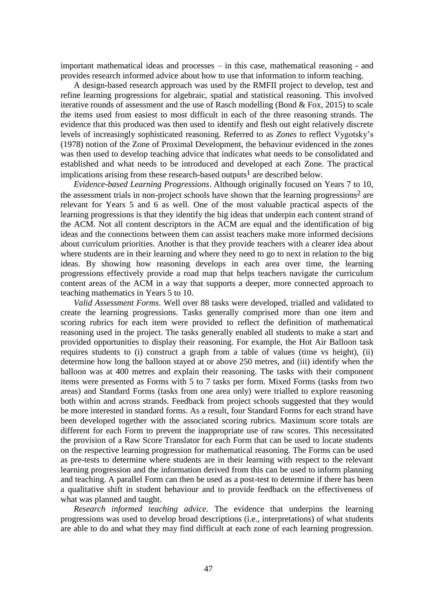important mathematical ideas and processes – in this case, mathematical reasoning - and provides research informed advice about how to use that information to inform teaching.

A design-based research approach was used by the RMFII project to develop, test and refine learning progressions for algebraic, spatial and statistical reasoning. This involved iterative rounds of assessment and the use of Rasch modelling (Bond & Fox, 2015) to scale the items used from easiest to most difficult in each of the three reasoning strands. The evidence that this produced was then used to identify and flesh out eight relatively discrete levels of increasingly sophisticated reasoning. Referred to as *Zones* to reflect Vygotsky's (1978) notion of the Zone of Proximal Development, the behaviour evidenced in the zones was then used to develop teaching advice that indicates what needs to be consolidated and established and what needs to be introduced and developed at each Zone. The practical implications arising from these research-based outputs<sup>1</sup> are described below.

*Evidence-based Learning Progressions*. Although originally focused on Years 7 to 10, the assessment trials in non-project schools have shown that the learning progressions<sup>2</sup> are relevant for Years 5 and 6 as well. One of the most valuable practical aspects of the learning progressions is that they identify the big ideas that underpin each content strand of the ACM. Not all content descriptors in the ACM are equal and the identification of big ideas and the connections between them can assist teachers make more informed decisions about curriculum priorities. Another is that they provide teachers with a clearer idea about where students are in their learning and where they need to go to next in relation to the big ideas. By showing how reasoning develops in each area over time, the learning progressions effectively provide a road map that helps teachers navigate the curriculum content areas of the ACM in a way that supports a deeper, more connected approach to teaching mathematics in Years 5 to 10.

*Valid Assessment Forms*. Well over 88 tasks were developed, trialled and validated to create the learning progressions. Tasks generally comprised more than one item and scoring rubrics for each item were provided to reflect the definition of mathematical reasoning used in the project. The tasks generally enabled all students to make a start and provided opportunities to display their reasoning. For example, the Hot Air Balloon task requires students to (i) construct a graph from a table of values (time vs height), (ii) determine how long the balloon stayed at or above 250 metres, and (iii) identify when the balloon was at 400 metres and explain their reasoning. The tasks with their component items were presented as Forms with 5 to 7 tasks per form. Mixed Forms (tasks from two areas) and Standard Forms (tasks from one area only) were trialled to explore reasoning both within and across strands. Feedback from project schools suggested that they would be more interested in standard forms. As a result, four Standard Forms for each strand have been developed together with the associated scoring rubrics. Maximum score totals are different for each Form to prevent the inappropriate use of raw scores. This necessitated the provision of a Raw Score Translator for each Form that can be used to locate students on the respective learning progression for mathematical reasoning. The Forms can be used as pre-tests to determine where students are in their learning with respect to the relevant learning progression and the information derived from this can be used to inform planning and teaching. A parallel Form can then be used as a post-test to determine if there has been a qualitative shift in student behaviour and to provide feedback on the effectiveness of what was planned and taught.

*Research informed teaching advice*. The evidence that underpins the learning progressions was used to develop broad descriptions (i.e., interpretations) of what students are able to do and what they may find difficult at each zone of each learning progression.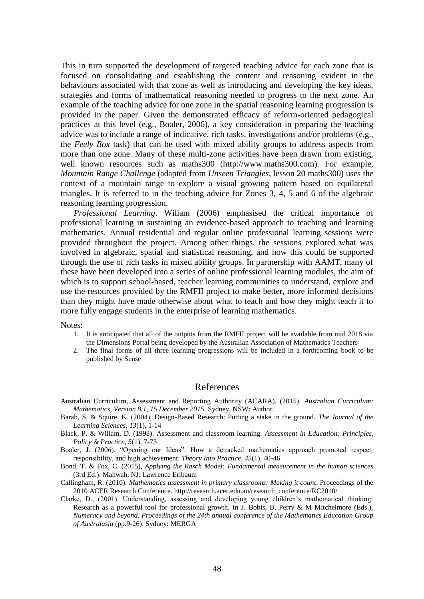This in turn supported the development of targeted teaching advice for each zone that is focused on consolidating and establishing the content and reasoning evident in the behaviours associated with that zone as well as introducing and developing the key ideas, strategies and forms of mathematical reasoning needed to progress to the next zone. An example of the teaching advice for one zone in the spatial reasoning learning progression is provided in the paper. Given the demonstrated efficacy of reform-oriented pedagogical practices at this level (e.g., Boaler, 2006), a key consideration in preparing the teaching advice was to include a range of indicative, rich tasks, investigations and/or problems (e.g., the *Feely Box* task) that can be used with mixed ability groups to address aspects from more than one zone. Many of these multi-zone activities have been drawn from existing, well known resources such as maths300 [\(http://www.maths300.com\)](http://www.maths300.com/). For example, *Mountain Range Challenge* (adapted from *Unseen Triangles*, lesson 20 maths300) uses the context of a mountain range to explore a visual growing pattern based on equilateral triangles. It is referred to in the teaching advice for Zones 3, 4, 5 and 6 of the algebraic reasoning learning progression.

*Professional Learning*. Wiliam (2006) emphasised the critical importance of professional learning in sustaining an evidence-based approach to teaching and learning mathematics. Annual residential and regular online professional learning sessions were provided throughout the project. Among other things, the sessions explored what was involved in algebraic, spatial and statistical reasoning, and how this could be supported through the use of rich tasks in mixed ability groups. In partnership with AAMT, many of these have been developed into a series of online professional learning modules, the aim of which is to support school-based, teacher learning communities to understand, explore and use the resources provided by the RMFII project to make better, more informed decisions than they might have made otherwise about what to teach and how they might teach it to more fully engage students in the enterprise of learning mathematics.

Notes:

- 1. It is anticipated that all of the outputs from the RMFII project will be available from mid 2018 via the Dimensions Portal being developed by the Australian Association of Mathematics Teachers
- 2. The final forms of all three learning progressions will be included in a forthcoming book to be published by Sense

## References

- Australian Curriculum, Assessment and Reporting Authority (ACARA). (2015). *Australian Curriculum: Mathematics, Version 8.1, 15 December 2015.* Sydney, NSW: Author.
- Barab, S. & Squire, K. (2004), Design-Based Research: Putting a stake in the ground. *The Journal of the Learning Sciences, 13*(1), 1-14
- Black, P. & Wiliam, D. (1998). Assessment and classroom learning. *Assessment in Education: Principles, Policy & Practice, 5*(1), 7-73
- Boaler, J. (2006). "Opening our Ideas": How a detracked mathematics approach promoted respect, responsibility, and high achievement. *Theory Into Practice, 45*(1), 40-46
- Bond, T. & Fox, C. (2015), *Applying the Rasch Model: Fundamental measurement in the human sciences* (3rd Ed.). Mahwah, NJ: Lawrence Erlbaum
- Callingham, R. (2010). *Mathematics assessment in primary classrooms: Making it count*. Proceedings of the 2010 ACER Research Conference. http://research.acer.edu.au/research\_conference/RC2010/
- Clarke, D., (2001). Understanding, assessing and developing young children's mathematical thinking: Research as a powerful tool for professional growth. In J. Bobis, B. Perry & M Mitchelmore (Eds.), *Numeracy and beyond. Proceedings of the 24th annual conference of the Mathematics Education Group of Australasia* (pp.9-26). Sydney: MERGA